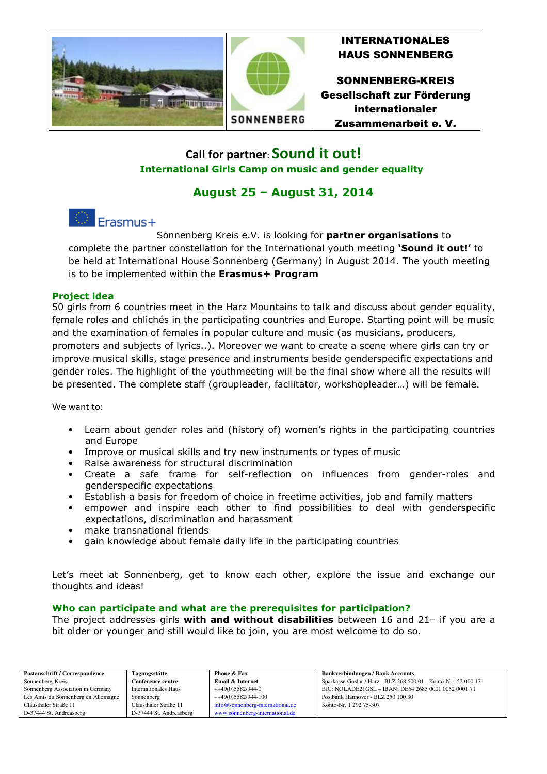

## INTERNATIONALES HAUS SONNENBERG

SONNENBERG-KREIS Gesellschaft zur Förderung internationaler Zusammenarbeit e. V.

# **Call for partner**: **Sound it out! International Girls Camp on music and gender equality**

# **August 25 – August 31, 2014**

# Erasmus+

Sonnenberg Kreis e.V. is looking for **partner organisations** to complete the partner constellation for the International youth meeting **'Sound it out!'** to be held at International House Sonnenberg (Germany) in August 2014. The youth meeting is to be implemented within the **Erasmus+ Program**

## **Project idea**

50 girls from 6 countries meet in the Harz Mountains to talk and discuss about gender equality, female roles and chlichés in the participating countries and Europe. Starting point will be music and the examination of females in popular culture and music (as musicians, producers, promoters and subjects of lyrics..). Moreover we want to create a scene where girls can try or improve musical skills, stage presence and instruments beside genderspecific expectations and gender roles. The highlight of the youthmeeting will be the final show where all the results will be presented. The complete staff (groupleader, facilitator, workshopleader…) will be female.

We want to:

- Learn about gender roles and (history of) women's rights in the participating countries and Europe
- Improve or musical skills and try new instruments or types of music
- Raise awareness for structural discrimination
- Create a safe frame for self-reflection on influences from gender-roles and genderspecific expectations
- Establish a basis for freedom of choice in freetime activities, job and family matters
- empower and inspire each other to find possibilities to deal with genderspecific expectations, discrimination and harassment
- make transnational friends
- gain knowledge about female daily life in the participating countries

Let's meet at Sonnenberg, get to know each other, explore the issue and exchange our thoughts and ideas!

### **Who can participate and what are the prerequisites for participation?**

The project addresses girls **with and without disabilities** between 16 and 21– if you are a bit older or younger and still would like to join, you are most welcome to do so.

| <b>Postanschrift / Correspondence</b> | Tagungsstätte           | Phone & Fax                      | <b>Bankverbindungen / Bank Accounts</b>                          |
|---------------------------------------|-------------------------|----------------------------------|------------------------------------------------------------------|
| Sonnenberg-Kreis                      | Conference centre       | Email & Internet                 | Sparkasse Goslar / Harz - BLZ 268 500 01 - Konto-Nr.: 52 000 171 |
| Sonnenberg Association in Germany     | Internationales Haus    | ++49(0)5582/944-0                | BIC: NOLADE21GSL - IBAN: DE64 2685 0001 0052 0001 71             |
| Les Amis du Sonnenberg en Allemagne   | Sonnenberg              | ++49(0)5582/944-100              | Postbank Hannover - BLZ 250 100 30                               |
| Clausthaler Straße 11                 | Clausthaler Straße 11   | info@sonnenberg-international.de | Konto-Nr. 1 292 75-307                                           |
| D-37444 St. Andreasberg               | D-37444 St. Andreasberg | www.sonnenberg-international.de  |                                                                  |